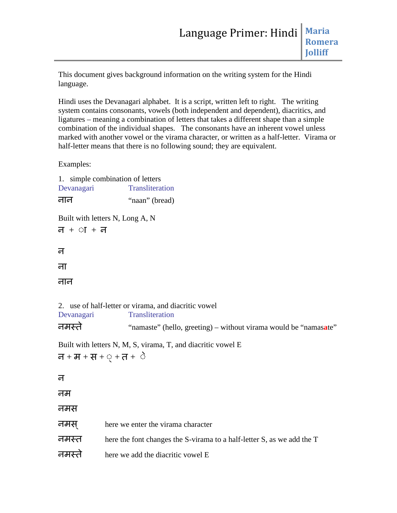This document gives background information on the writing system for the Hindi language.

Hindi uses the Devanagari alphabet. It is a script, written left to right. The writing system contains consonants, vowels (both independent and dependent), diacritics, and ligatures – meaning a combination of letters that takes a different shape than a simple combination of the individual shapes. The consonants have an inherent vowel unless marked with another vowel or the virama character, or written as a half-letter. Virama or half-letter means that there is no following sound; they are equivalent.

Examples:

|                                                                                                                   | 1. simple combination of letters                                                                                                                                                                            |
|-------------------------------------------------------------------------------------------------------------------|-------------------------------------------------------------------------------------------------------------------------------------------------------------------------------------------------------------|
| Devanagari                                                                                                        | Transliteration                                                                                                                                                                                             |
| नान                                                                                                               | "naan" (bread)                                                                                                                                                                                              |
|                                                                                                                   | Built with letters N, Long A, N                                                                                                                                                                             |
| $\overline{d} + \overline{v}I + \overline{d}$                                                                     |                                                                                                                                                                                                             |
| न                                                                                                                 |                                                                                                                                                                                                             |
| ना                                                                                                                |                                                                                                                                                                                                             |
| नान                                                                                                               |                                                                                                                                                                                                             |
| Devanagari<br>नमस्ते<br>$\overline{d} + \overline{d} + \overline{d} + \overline{Q} + \overline{d} + \overline{Q}$ | 2. use of half-letter or virama, and diacritic vowel<br>Transliteration<br>"namaste" (hello, greeting) – without virama would be "namasate"<br>Built with letters N, M, S, virama, T, and diacritic vowel E |
| न                                                                                                                 |                                                                                                                                                                                                             |
| नम                                                                                                                |                                                                                                                                                                                                             |
| नमस                                                                                                               |                                                                                                                                                                                                             |
| नमस्                                                                                                              | here we enter the virama character                                                                                                                                                                          |
| नमस्त                                                                                                             | here the font changes the S-virama to a half-letter S, as we add the T                                                                                                                                      |
| नमस्ते                                                                                                            | here we add the diacritic vowel E                                                                                                                                                                           |